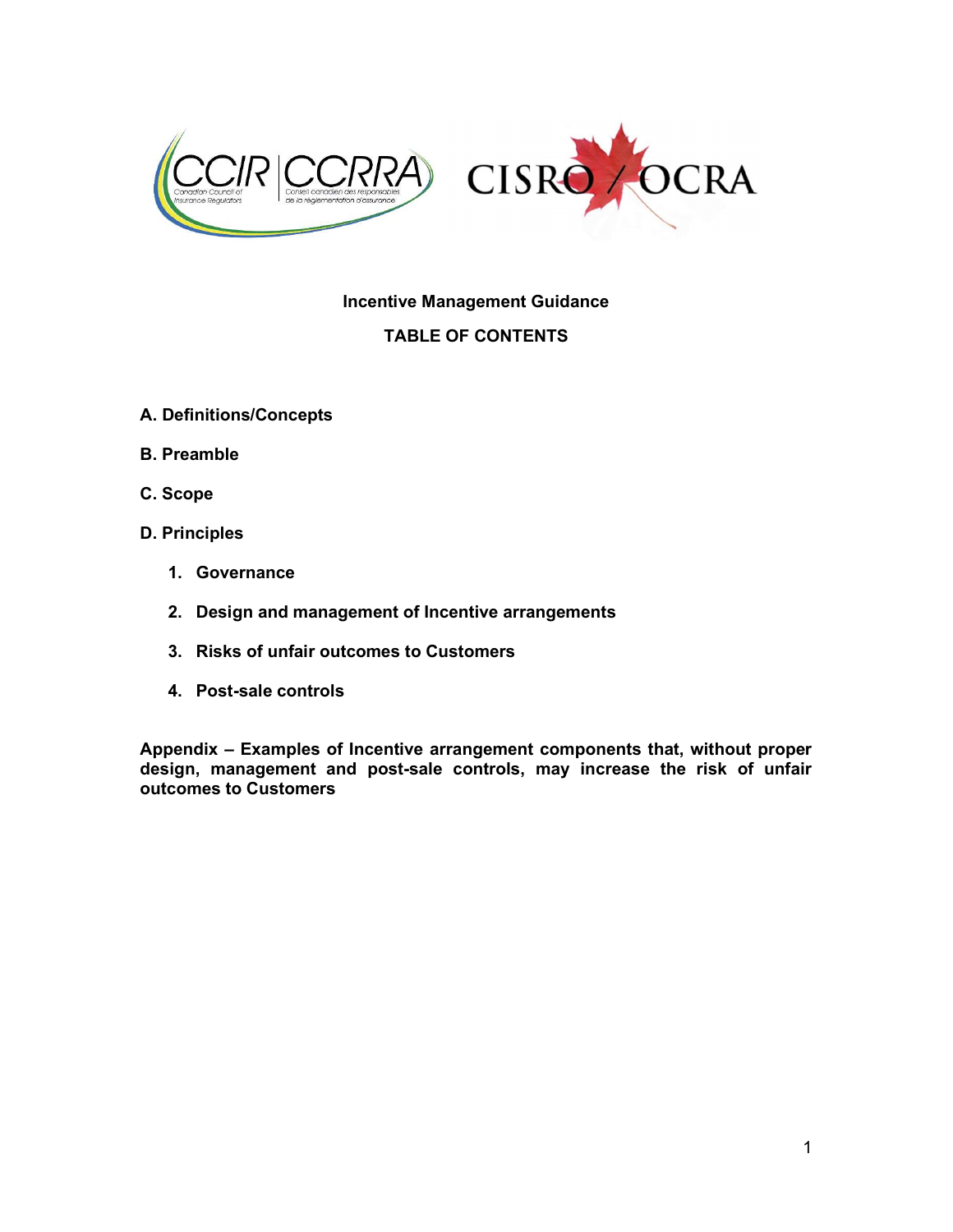

### Incentive Management Guidance

# TABLE OF CONTENTS

- A. Definitions/Concepts
- B. Preamble
- C. Scope
- D. Principles
	- 1. Governance
	- 2. Design and management of Incentive arrangements
	- 3. Risks of unfair outcomes to Customers
	- 4. Post-sale controls

Appendix – Examples of Incentive arrangement components that, without proper design, management and post-sale controls, may increase the risk of unfair outcomes to Customers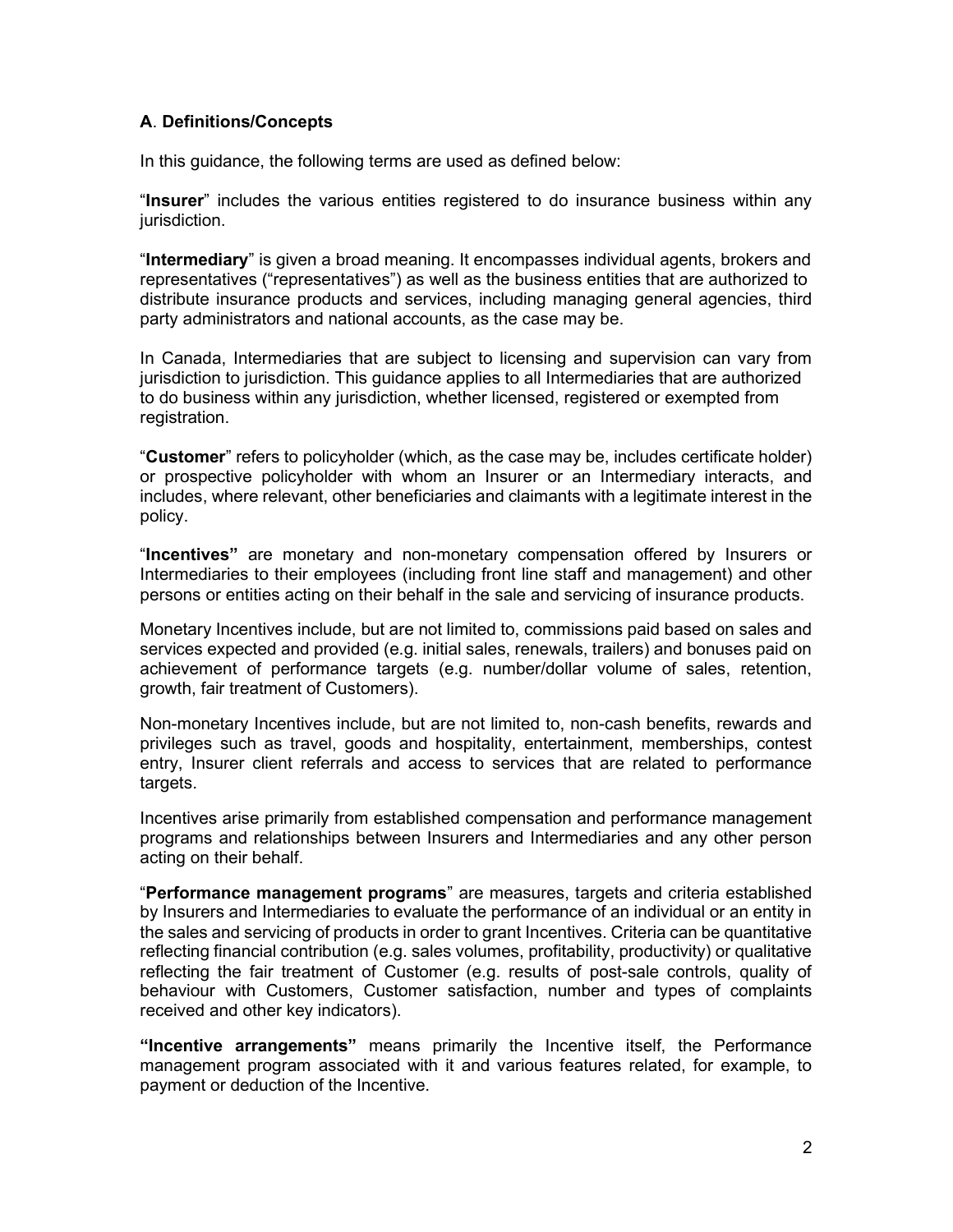# A. Definitions/Concepts

In this guidance, the following terms are used as defined below:

"Insurer" includes the various entities registered to do insurance business within any jurisdiction.

"Intermediary" is given a broad meaning. It encompasses individual agents, brokers and representatives ("representatives") as well as the business entities that are authorized to distribute insurance products and services, including managing general agencies, third party administrators and national accounts, as the case may be.

In Canada, Intermediaries that are subject to licensing and supervision can vary from jurisdiction to jurisdiction. This guidance applies to all Intermediaries that are authorized to do business within any jurisdiction, whether licensed, registered or exempted from registration.

"Customer" refers to policyholder (which, as the case may be, includes certificate holder) or prospective policyholder with whom an Insurer or an Intermediary interacts, and includes, where relevant, other beneficiaries and claimants with a legitimate interest in the policy.

"Incentives" are monetary and non-monetary compensation offered by Insurers or Intermediaries to their employees (including front line staff and management) and other persons or entities acting on their behalf in the sale and servicing of insurance products.

Monetary Incentives include, but are not limited to, commissions paid based on sales and services expected and provided (e.g. initial sales, renewals, trailers) and bonuses paid on achievement of performance targets (e.g. number/dollar volume of sales, retention, growth, fair treatment of Customers).

Non-monetary Incentives include, but are not limited to, non-cash benefits, rewards and privileges such as travel, goods and hospitality, entertainment, memberships, contest entry, Insurer client referrals and access to services that are related to performance targets.

Incentives arise primarily from established compensation and performance management programs and relationships between Insurers and Intermediaries and any other person acting on their behalf.

"Performance management programs" are measures, targets and criteria established by Insurers and Intermediaries to evaluate the performance of an individual or an entity in the sales and servicing of products in order to grant Incentives. Criteria can be quantitative reflecting financial contribution (e.g. sales volumes, profitability, productivity) or qualitative reflecting the fair treatment of Customer (e.g. results of post-sale controls, quality of behaviour with Customers, Customer satisfaction, number and types of complaints received and other key indicators).

"Incentive arrangements" means primarily the Incentive itself, the Performance management program associated with it and various features related, for example, to payment or deduction of the Incentive.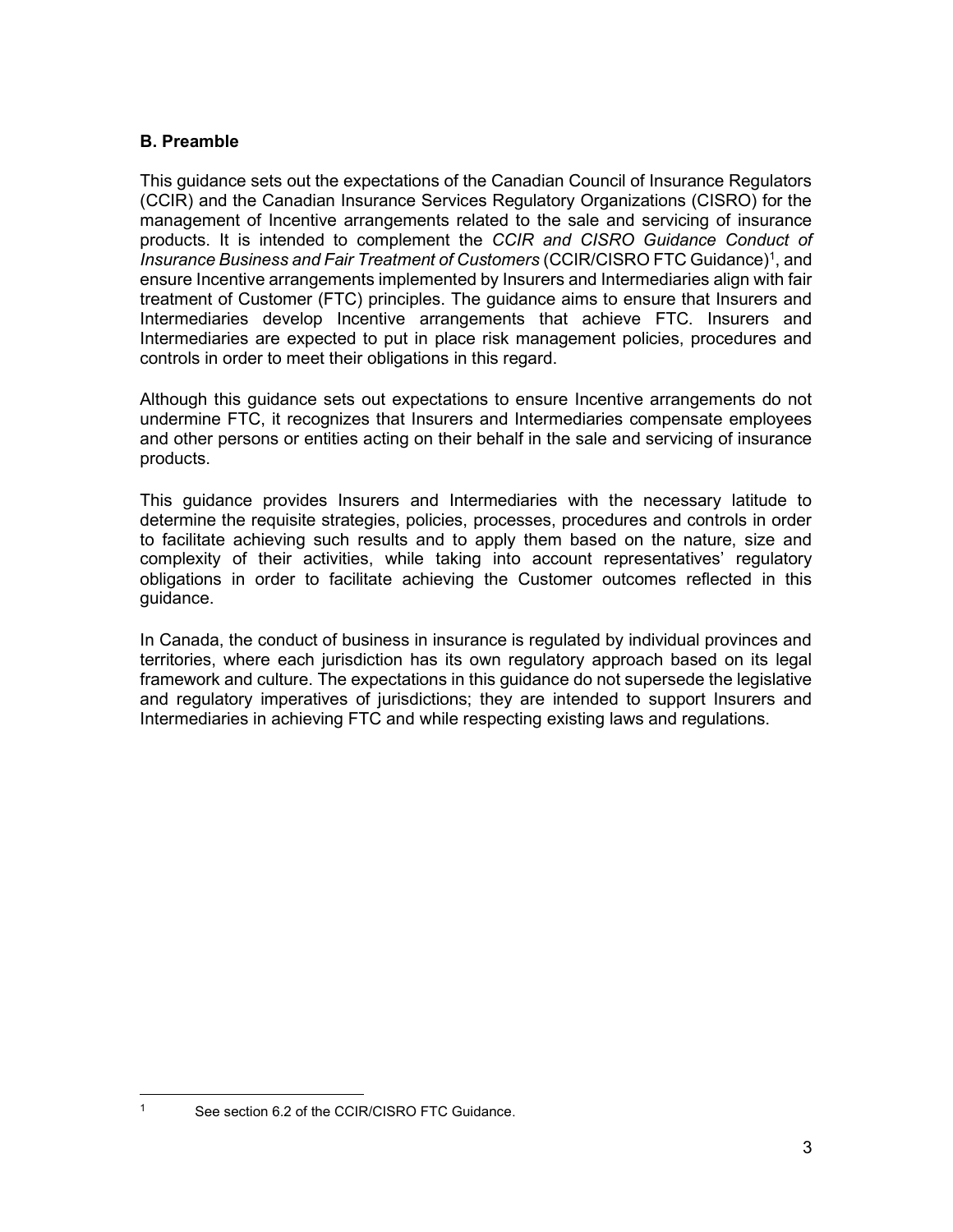# B. Preamble

This guidance sets out the expectations of the Canadian Council of Insurance Regulators (CCIR) and the Canadian Insurance Services Regulatory Organizations (CISRO) for the management of Incentive arrangements related to the sale and servicing of insurance products. It is intended to complement the CCIR and CISRO Guidance Conduct of Insurance Business and Fair Treatment of Customers (CCIR/CISRO FTC Guidance)<sup>1</sup>, and ensure Incentive arrangements implemented by Insurers and Intermediaries align with fair treatment of Customer (FTC) principles. The guidance aims to ensure that Insurers and Intermediaries develop Incentive arrangements that achieve FTC. Insurers and Intermediaries are expected to put in place risk management policies, procedures and controls in order to meet their obligations in this regard.

Although this guidance sets out expectations to ensure Incentive arrangements do not undermine FTC, it recognizes that Insurers and Intermediaries compensate employees and other persons or entities acting on their behalf in the sale and servicing of insurance products.

This guidance provides Insurers and Intermediaries with the necessary latitude to determine the requisite strategies, policies, processes, procedures and controls in order to facilitate achieving such results and to apply them based on the nature, size and complexity of their activities, while taking into account representatives' regulatory obligations in order to facilitate achieving the Customer outcomes reflected in this guidance.

In Canada, the conduct of business in insurance is regulated by individual provinces and territories, where each jurisdiction has its own regulatory approach based on its legal framework and culture. The expectations in this guidance do not supersede the legislative and regulatory imperatives of jurisdictions; they are intended to support Insurers and Intermediaries in achieving FTC and while respecting existing laws and regulations.

<sup>1</sup> See section 6.2 of the CCIR/CISRO FTC Guidance.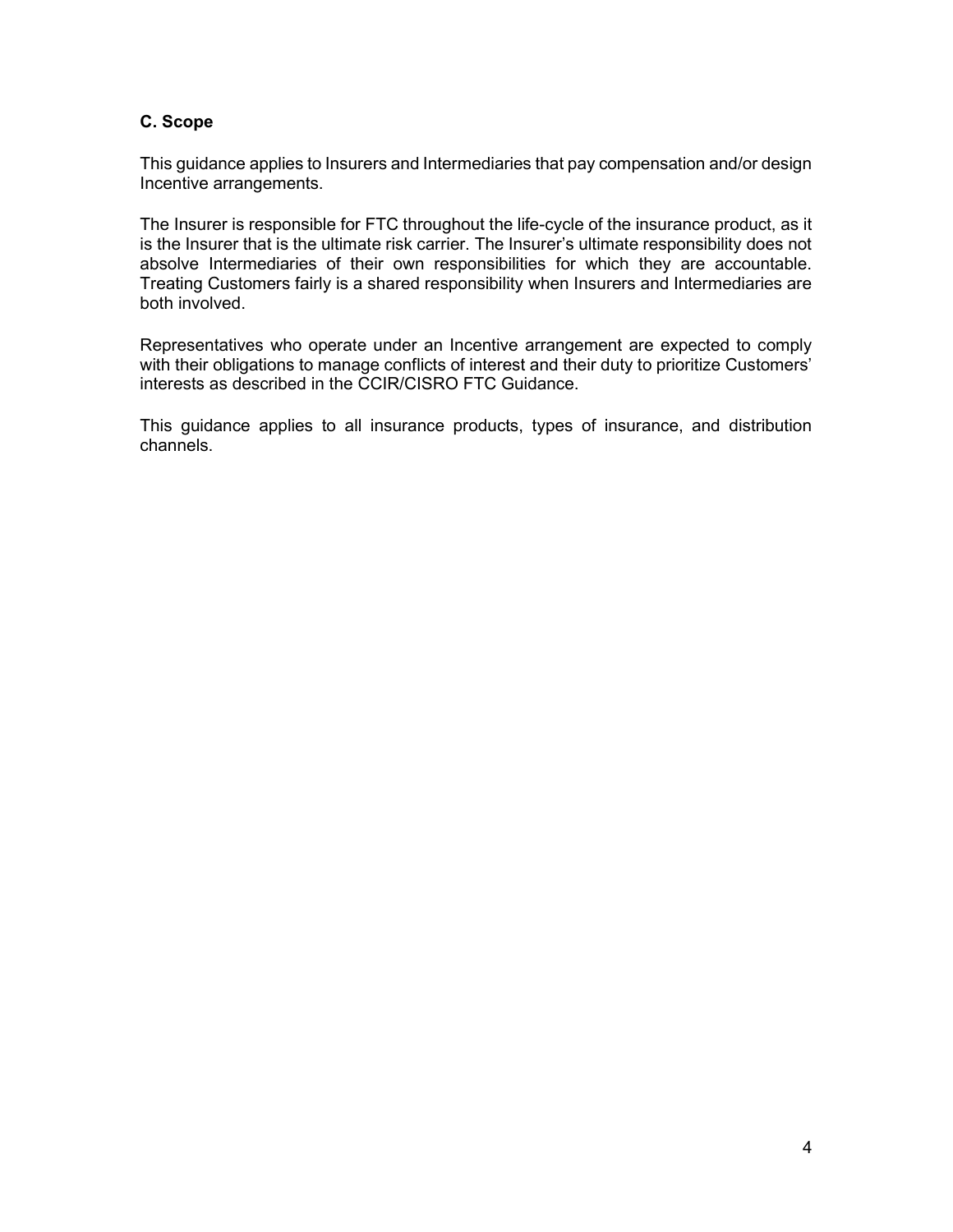## C. Scope

This guidance applies to Insurers and Intermediaries that pay compensation and/or design Incentive arrangements.

The Insurer is responsible for FTC throughout the life-cycle of the insurance product, as it is the Insurer that is the ultimate risk carrier. The Insurer's ultimate responsibility does not absolve Intermediaries of their own responsibilities for which they are accountable. Treating Customers fairly is a shared responsibility when Insurers and Intermediaries are both involved.

Representatives who operate under an Incentive arrangement are expected to comply with their obligations to manage conflicts of interest and their duty to prioritize Customers' interests as described in the CCIR/CISRO FTC Guidance.

This guidance applies to all insurance products, types of insurance, and distribution channels.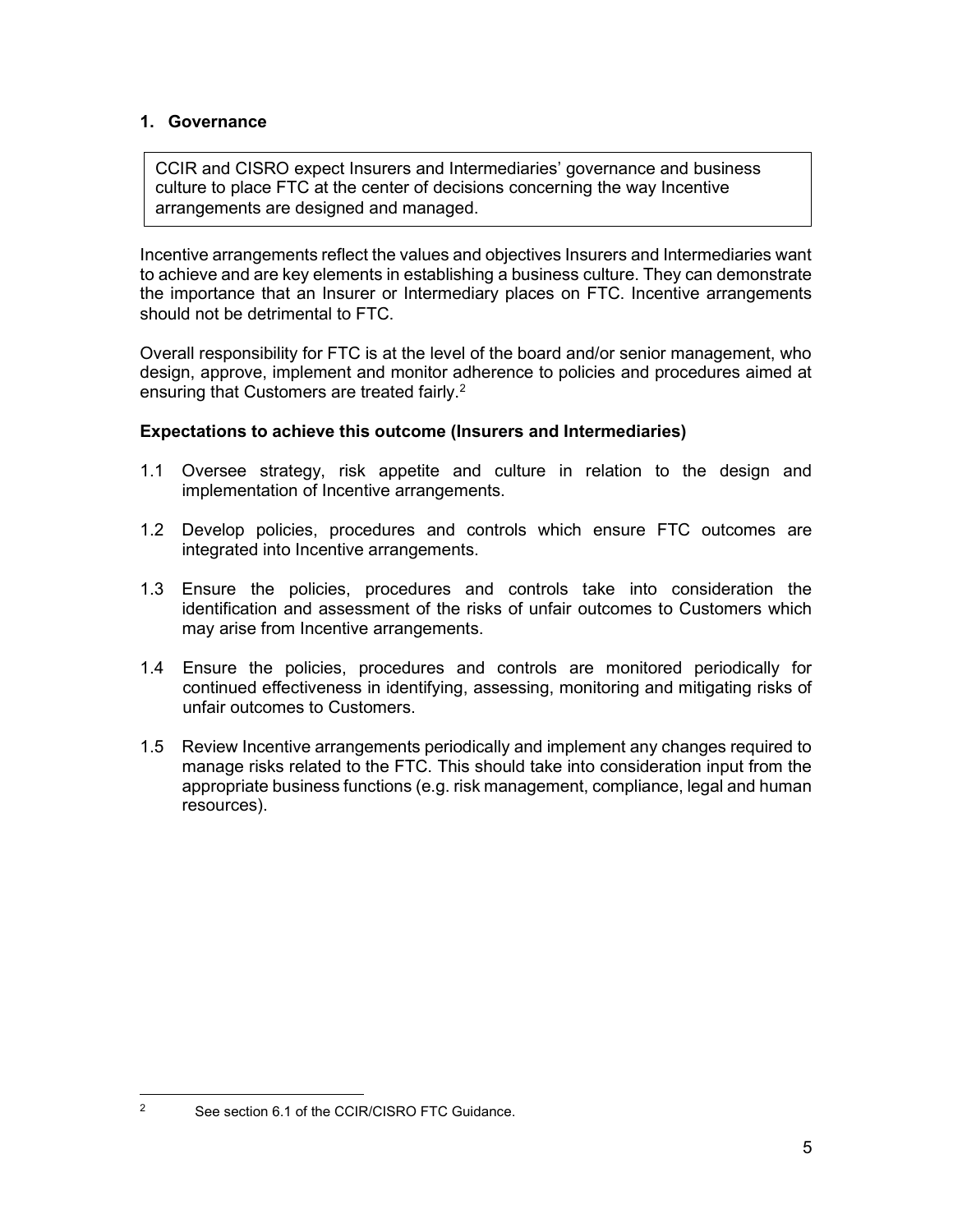## 1. Governance

CCIR and CISRO expect Insurers and Intermediaries' governance and business culture to place FTC at the center of decisions concerning the way Incentive arrangements are designed and managed.

Incentive arrangements reflect the values and objectives Insurers and Intermediaries want to achieve and are key elements in establishing a business culture. They can demonstrate the importance that an Insurer or Intermediary places on FTC. Incentive arrangements should not be detrimental to FTC.

Overall responsibility for FTC is at the level of the board and/or senior management, who design, approve, implement and monitor adherence to policies and procedures aimed at ensuring that Customers are treated fairly.<sup>2</sup>

### Expectations to achieve this outcome (Insurers and Intermediaries)

- 1.1 Oversee strategy, risk appetite and culture in relation to the design and implementation of Incentive arrangements.
- 1.2 Develop policies, procedures and controls which ensure FTC outcomes are integrated into Incentive arrangements.
- 1.3 Ensure the policies, procedures and controls take into consideration the identification and assessment of the risks of unfair outcomes to Customers which may arise from Incentive arrangements.
- 1.4 Ensure the policies, procedures and controls are monitored periodically for continued effectiveness in identifying, assessing, monitoring and mitigating risks of unfair outcomes to Customers.
- 1.5 Review Incentive arrangements periodically and implement any changes required to manage risks related to the FTC. This should take into consideration input from the appropriate business functions (e.g. risk management, compliance, legal and human resources).

<sup>2</sup> See section 6.1 of the CCIR/CISRO FTC Guidance.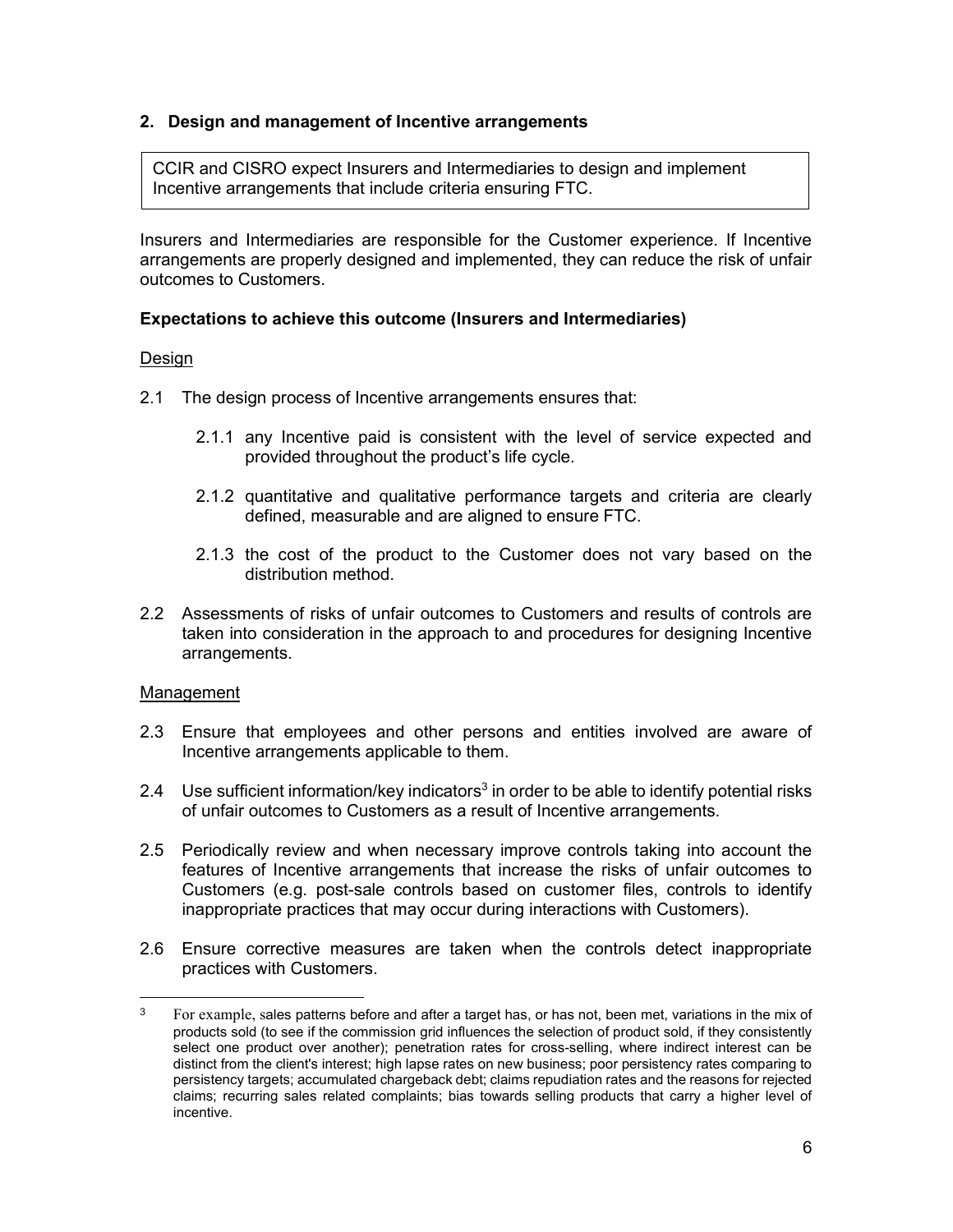## 2. Design and management of Incentive arrangements

İ CCIR and CISRO expect Insurers and Intermediaries to design and implement Incentive arrangements that include criteria ensuring FTC.

Insurers and Intermediaries are responsible for the Customer experience. If Incentive arrangements are properly designed and implemented, they can reduce the risk of unfair outcomes to Customers.

## Expectations to achieve this outcome (Insurers and Intermediaries)

#### Design

- 2.1 The design process of Incentive arrangements ensures that:
	- 2.1.1 any Incentive paid is consistent with the level of service expected and provided throughout the product's life cycle.
	- 2.1.2 quantitative and qualitative performance targets and criteria are clearly defined, measurable and are aligned to ensure FTC.
	- 2.1.3 the cost of the product to the Customer does not vary based on the distribution method.
- 2.2 Assessments of risks of unfair outcomes to Customers and results of controls are taken into consideration in the approach to and procedures for designing Incentive arrangements.

#### Management

- 2.3 Ensure that employees and other persons and entities involved are aware of Incentive arrangements applicable to them.
- 2.4 Use sufficient information/key indicators<sup>3</sup> in order to be able to identify potential risks of unfair outcomes to Customers as a result of Incentive arrangements.
- 2.5 Periodically review and when necessary improve controls taking into account the features of Incentive arrangements that increase the risks of unfair outcomes to Customers (e.g. post-sale controls based on customer files, controls to identify inappropriate practices that may occur during interactions with Customers).
- 2.6 Ensure corrective measures are taken when the controls detect inappropriate practices with Customers.

<sup>3</sup> For example, sales patterns before and after a target has, or has not, been met, variations in the mix of products sold (to see if the commission grid influences the selection of product sold, if they consistently select one product over another); penetration rates for cross-selling, where indirect interest can be distinct from the client's interest; high lapse rates on new business; poor persistency rates comparing to persistency targets; accumulated chargeback debt; claims repudiation rates and the reasons for rejected claims; recurring sales related complaints; bias towards selling products that carry a higher level of incentive.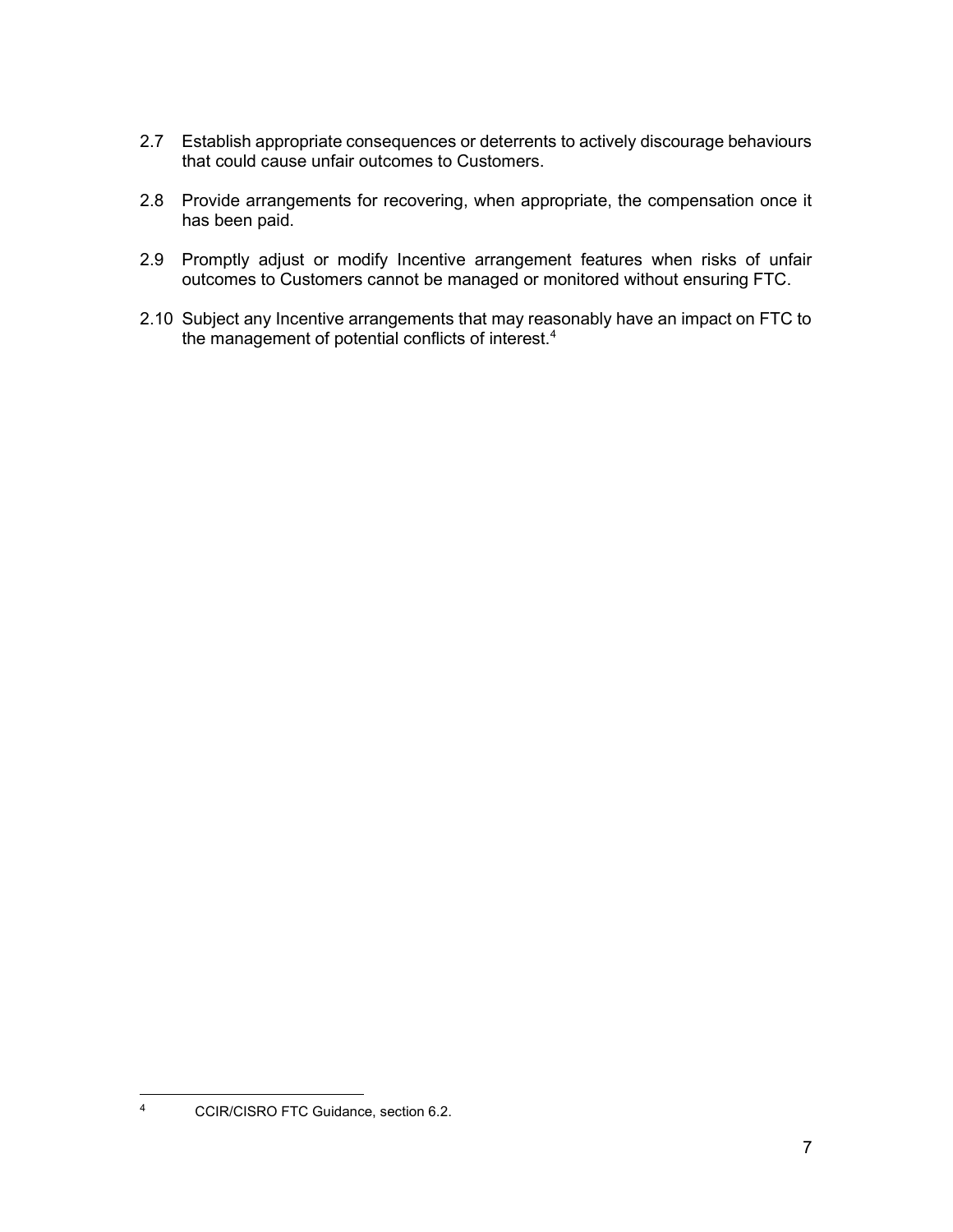- 2.7 Establish appropriate consequences or deterrents to actively discourage behaviours that could cause unfair outcomes to Customers.
- 2.8 Provide arrangements for recovering, when appropriate, the compensation once it has been paid.
- 2.9 Promptly adjust or modify Incentive arrangement features when risks of unfair outcomes to Customers cannot be managed or monitored without ensuring FTC.
- 2.10 Subject any Incentive arrangements that may reasonably have an impact on FTC to the management of potential conflicts of interest.<sup>4</sup>

<sup>4</sup> CCIR/CISRO FTC Guidance, section 6.2.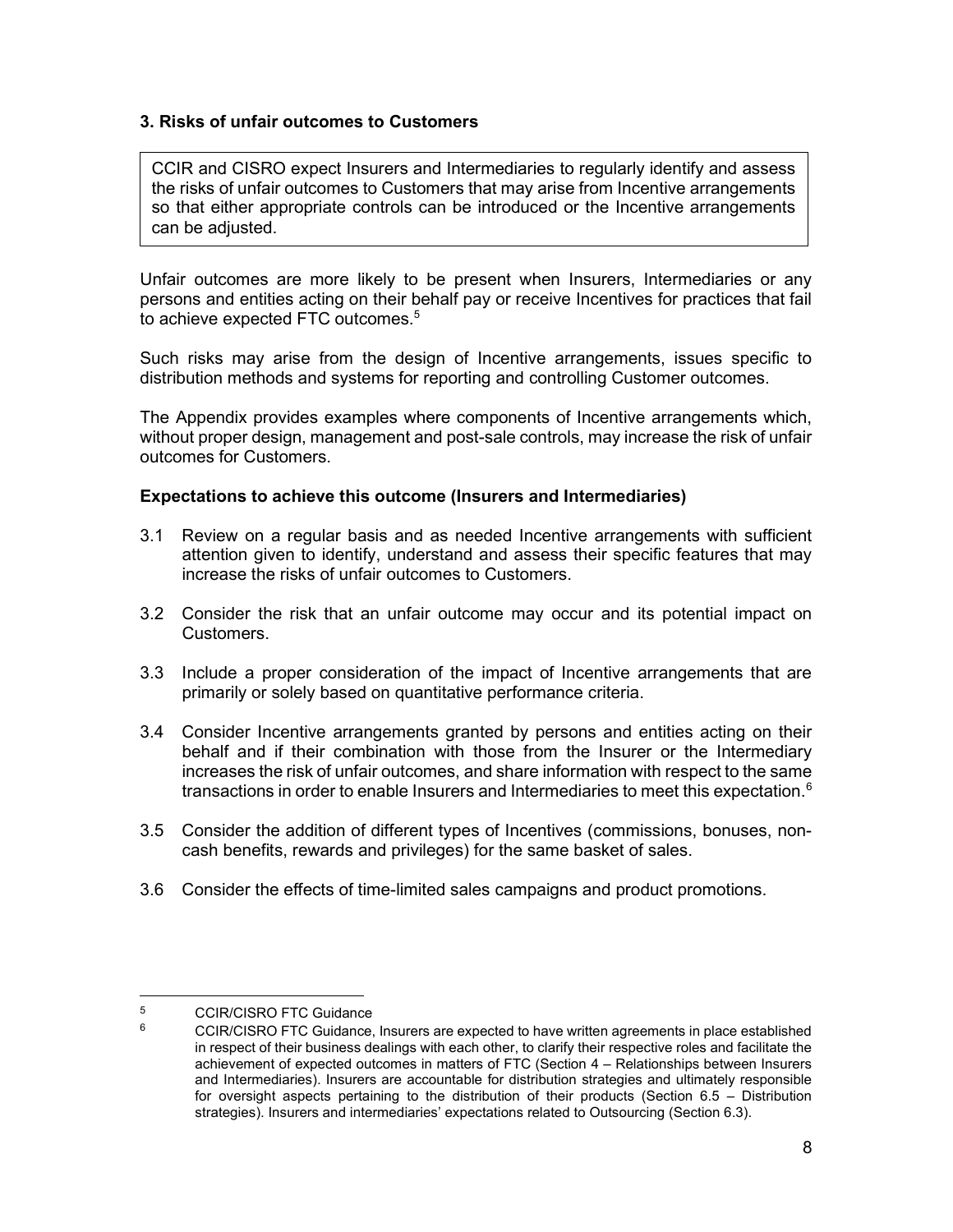## 3. Risks of unfair outcomes to Customers

CCIR and CISRO expect Insurers and Intermediaries to regularly identify and assess the risks of unfair outcomes to Customers that may arise from Incentive arrangements so that either appropriate controls can be introduced or the Incentive arrangements can be adjusted.

Unfair outcomes are more likely to be present when Insurers, Intermediaries or any persons and entities acting on their behalf pay or receive Incentives for practices that fail to achieve expected FTC outcomes.<sup>5</sup>

Such risks may arise from the design of Incentive arrangements, issues specific to distribution methods and systems for reporting and controlling Customer outcomes.

The Appendix provides examples where components of Incentive arrangements which, without proper design, management and post-sale controls, may increase the risk of unfair outcomes for Customers.

## Expectations to achieve this outcome (Insurers and Intermediaries)

- 3.1 Review on a regular basis and as needed Incentive arrangements with sufficient attention given to identify, understand and assess their specific features that may increase the risks of unfair outcomes to Customers.
- 3.2 Consider the risk that an unfair outcome may occur and its potential impact on Customers.
- 3.3 Include a proper consideration of the impact of Incentive arrangements that are primarily or solely based on quantitative performance criteria.
- 3.4 Consider Incentive arrangements granted by persons and entities acting on their behalf and if their combination with those from the Insurer or the Intermediary increases the risk of unfair outcomes, and share information with respect to the same transactions in order to enable Insurers and Intermediaries to meet this expectation. $6$
- 3.5 Consider the addition of different types of Incentives (commissions, bonuses, noncash benefits, rewards and privileges) for the same basket of sales.
- 3.6 Consider the effects of time-limited sales campaigns and product promotions.

<sup>5</sup> CCIR/CISRO FTC Guidance

<sup>6</sup> CCIR/CISRO FTC Guidance, Insurers are expected to have written agreements in place established in respect of their business dealings with each other, to clarify their respective roles and facilitate the achievement of expected outcomes in matters of FTC (Section 4 – Relationships between Insurers and Intermediaries). Insurers are accountable for distribution strategies and ultimately responsible for oversight aspects pertaining to the distribution of their products (Section 6.5 – Distribution strategies). Insurers and intermediaries' expectations related to Outsourcing (Section 6.3).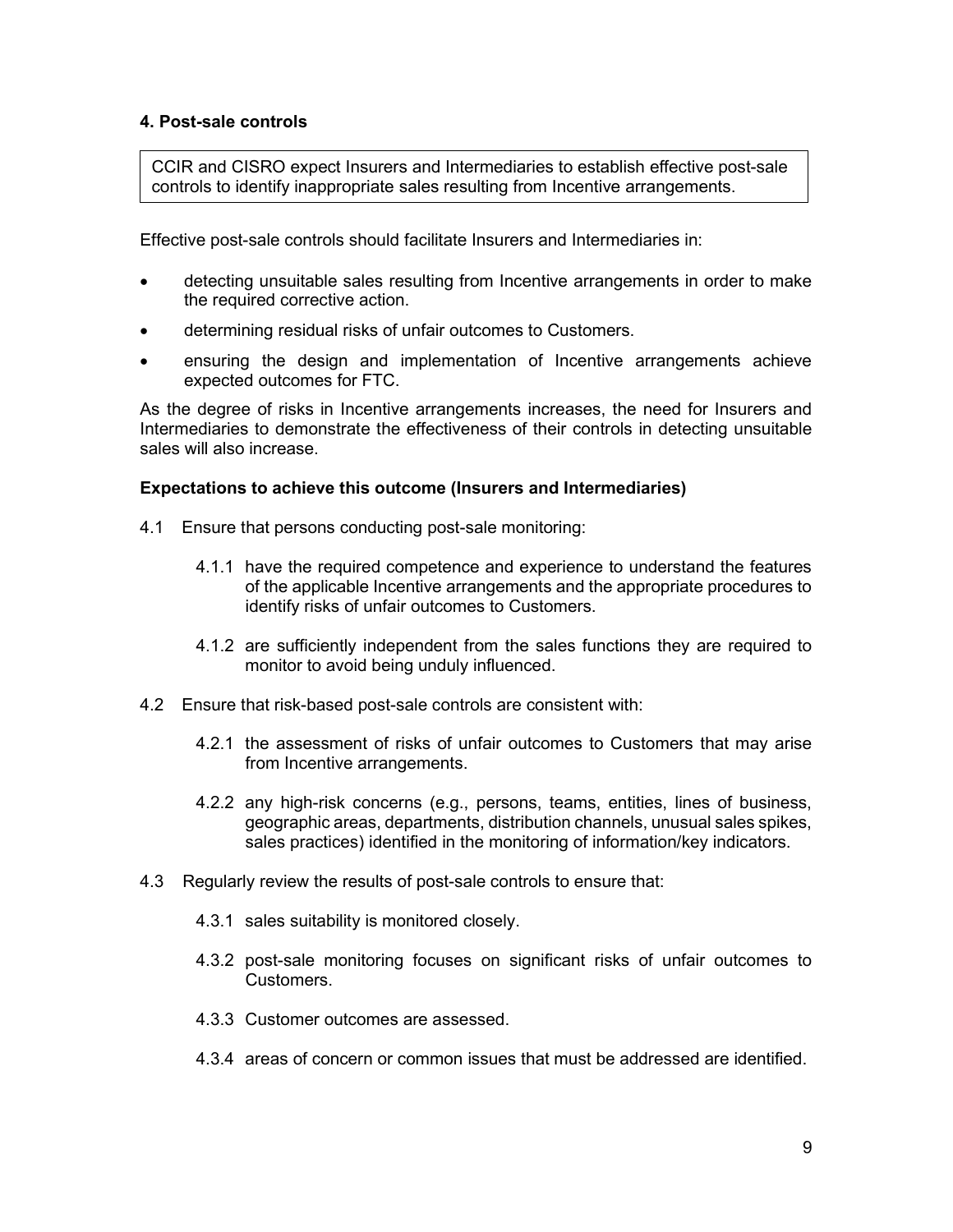## 4. Post-sale controls

CCIR and CISRO expect Insurers and Intermediaries to establish effective post-sale controls to identify inappropriate sales resulting from Incentive arrangements.

Effective post-sale controls should facilitate Insurers and Intermediaries in:

- detecting unsuitable sales resulting from Incentive arrangements in order to make the required corrective action.
- determining residual risks of unfair outcomes to Customers.
- ensuring the design and implementation of Incentive arrangements achieve expected outcomes for FTC.

As the degree of risks in Incentive arrangements increases, the need for Insurers and Intermediaries to demonstrate the effectiveness of their controls in detecting unsuitable sales will also increase.

### Expectations to achieve this outcome (Insurers and Intermediaries)

- 4.1 Ensure that persons conducting post-sale monitoring:
	- 4.1.1 have the required competence and experience to understand the features of the applicable Incentive arrangements and the appropriate procedures to identify risks of unfair outcomes to Customers.
	- 4.1.2 are sufficiently independent from the sales functions they are required to monitor to avoid being unduly influenced.
- 4.2 Ensure that risk-based post-sale controls are consistent with:
	- 4.2.1 the assessment of risks of unfair outcomes to Customers that may arise from Incentive arrangements.
	- 4.2.2 any high-risk concerns (e.g., persons, teams, entities, lines of business, geographic areas, departments, distribution channels, unusual sales spikes, sales practices) identified in the monitoring of information/key indicators.
- 4.3 Regularly review the results of post-sale controls to ensure that:
	- 4.3.1 sales suitability is monitored closely.
	- 4.3.2 post-sale monitoring focuses on significant risks of unfair outcomes to Customers.
	- 4.3.3 Customer outcomes are assessed.
	- 4.3.4 areas of concern or common issues that must be addressed are identified.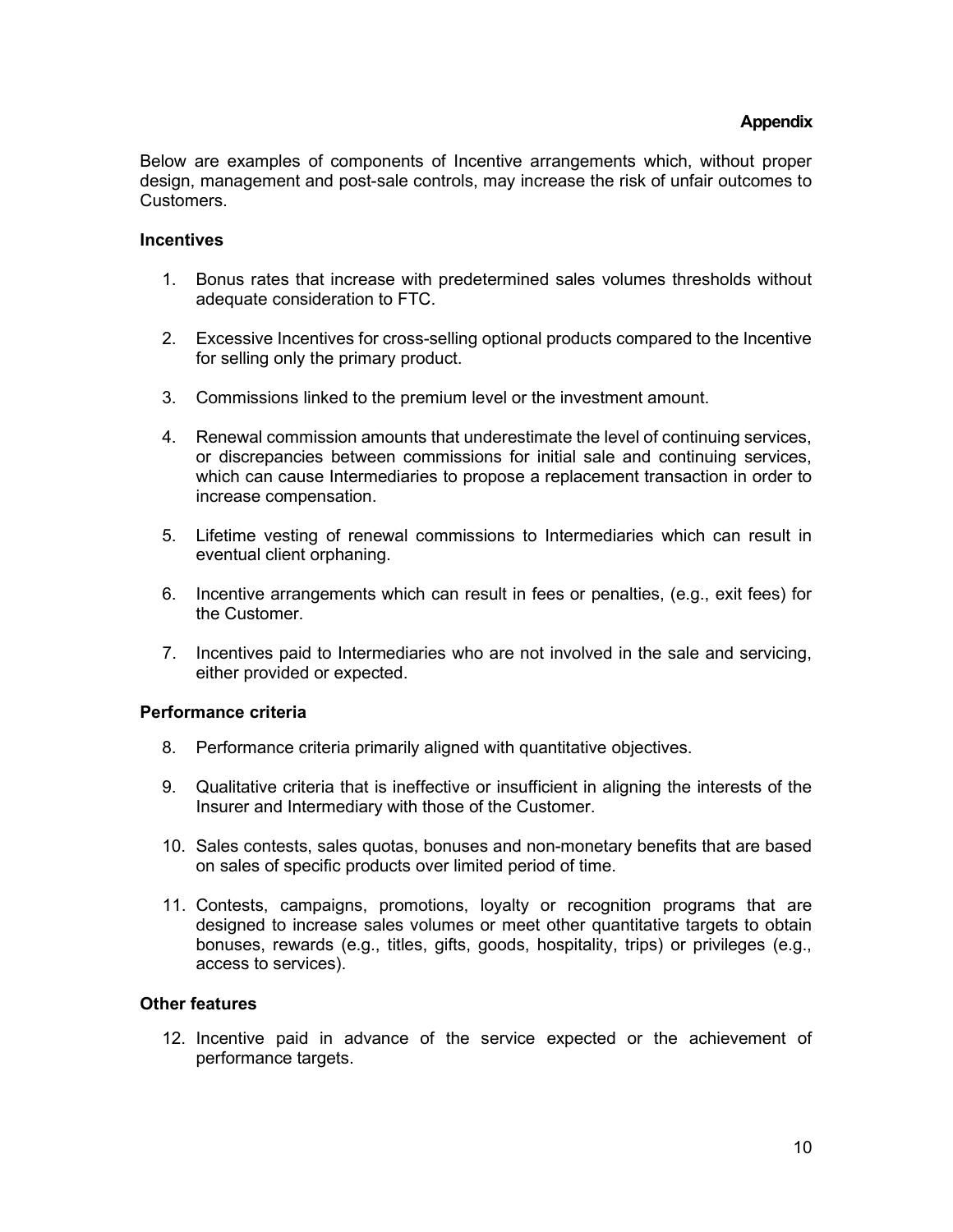#### **Appendix**

Below are examples of components of Incentive arrangements which, without proper design, management and post-sale controls, may increase the risk of unfair outcomes to **Customers** 

#### **Incentives**

- 1. Bonus rates that increase with predetermined sales volumes thresholds without adequate consideration to FTC.
- 2. Excessive Incentives for cross-selling optional products compared to the Incentive for selling only the primary product.
- 3. Commissions linked to the premium level or the investment amount.
- 4. Renewal commission amounts that underestimate the level of continuing services, or discrepancies between commissions for initial sale and continuing services, which can cause Intermediaries to propose a replacement transaction in order to increase compensation.
- 5. Lifetime vesting of renewal commissions to Intermediaries which can result in eventual client orphaning.
- 6. Incentive arrangements which can result in fees or penalties, (e.g., exit fees) for the Customer.
- 7. Incentives paid to Intermediaries who are not involved in the sale and servicing, either provided or expected.

#### Performance criteria

- 8. Performance criteria primarily aligned with quantitative objectives.
- 9. Qualitative criteria that is ineffective or insufficient in aligning the interests of the Insurer and Intermediary with those of the Customer.
- 10. Sales contests, sales quotas, bonuses and non-monetary benefits that are based on sales of specific products over limited period of time.
- 11. Contests, campaigns, promotions, loyalty or recognition programs that are designed to increase sales volumes or meet other quantitative targets to obtain bonuses, rewards (e.g., titles, gifts, goods, hospitality, trips) or privileges (e.g., access to services).

#### Other features

12. Incentive paid in advance of the service expected or the achievement of performance targets.